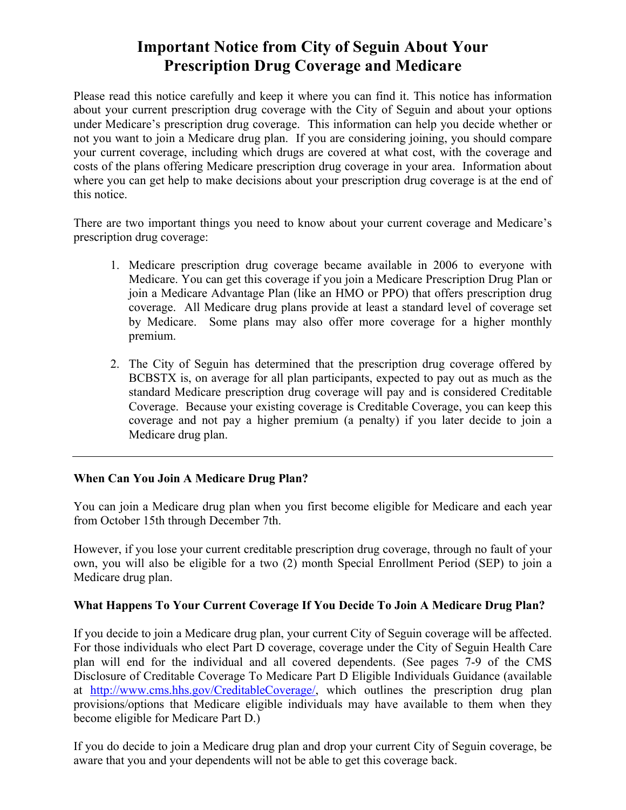# **Important Notice from City of Seguin About Your Prescription Drug Coverage and Medicare**

Please read this notice carefully and keep it where you can find it. This notice has information about your current prescription drug coverage with the City of Seguin and about your options under Medicare's prescription drug coverage. This information can help you decide whether or not you want to join a Medicare drug plan. If you are considering joining, you should compare your current coverage, including which drugs are covered at what cost, with the coverage and costs of the plans offering Medicare prescription drug coverage in your area. Information about where you can get help to make decisions about your prescription drug coverage is at the end of this notice.

There are two important things you need to know about your current coverage and Medicare's prescription drug coverage:

- 1. Medicare prescription drug coverage became available in 2006 to everyone with Medicare. You can get this coverage if you join a Medicare Prescription Drug Plan or join a Medicare Advantage Plan (like an HMO or PPO) that offers prescription drug coverage. All Medicare drug plans provide at least a standard level of coverage set by Medicare. Some plans may also offer more coverage for a higher monthly premium.
- 2. The City of Seguin has determined that the prescription drug coverage offered by BCBSTX is, on average for all plan participants, expected to pay out as much as the standard Medicare prescription drug coverage will pay and is considered Creditable Coverage. Because your existing coverage is Creditable Coverage, you can keep this coverage and not pay a higher premium (a penalty) if you later decide to join a Medicare drug plan.

## **When Can You Join A Medicare Drug Plan?**

You can join a Medicare drug plan when you first become eligible for Medicare and each year from October 15th through December 7th.

However, if you lose your current creditable prescription drug coverage, through no fault of your own, you will also be eligible for a two (2) month Special Enrollment Period (SEP) to join a Medicare drug plan.

## **What Happens To Your Current Coverage If You Decide To Join A Medicare Drug Plan?**

If you decide to join a Medicare drug plan, your current City of Seguin coverage will be affected. For those individuals who elect Part D coverage, coverage under the City of Seguin Health Care plan will end for the individual and all covered dependents. (See pages 7-9 of the CMS Disclosure of Creditable Coverage To Medicare Part D Eligible Individuals Guidance (available at http://www.cms.hhs.gov/CreditableCoverage/, which outlines the prescription drug plan provisions/options that Medicare eligible individuals may have available to them when they become eligible for Medicare Part D.)

If you do decide to join a Medicare drug plan and drop your current City of Seguin coverage, be aware that you and your dependents will not be able to get this coverage back.